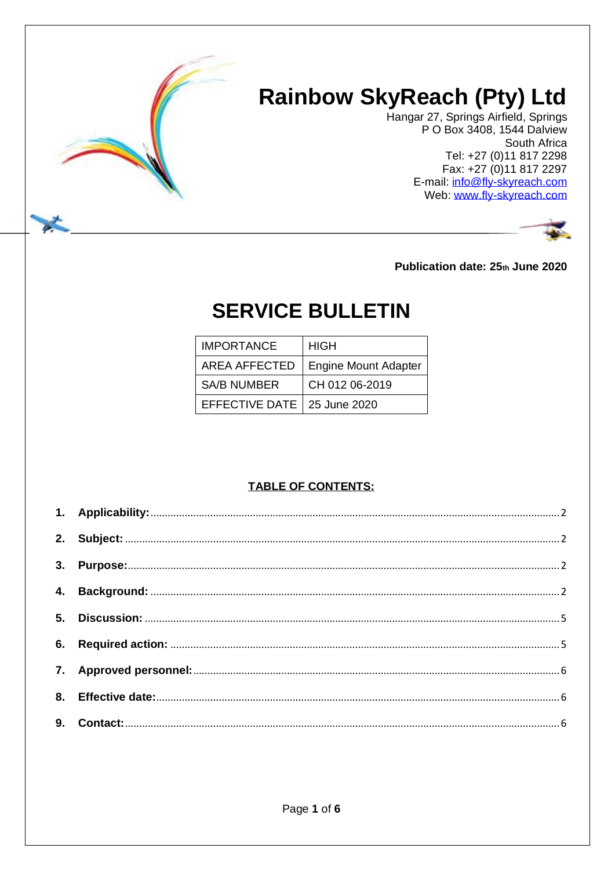

# **Rainbow SkyReach (Pty) Ltd**

Hangar 27, Springs Airfield, Springs P O Box 3408, 1544 Dalview South Africa Tel: +27 (0)11 817 2298 Fax: +27 (0)11 817 2297 E-mail: info@fly-skyreach.com Web: www.fly-skyreach.com



Publication date: 25th June 2020

# **SERVICE BULLETIN**

| <b>IMPORTANCE</b>             | HIGH                        |
|-------------------------------|-----------------------------|
| AREA AFFECTED                 | <b>Engine Mount Adapter</b> |
| <b>SA/B NUMBER</b>            | CH 012 06-2019              |
| EFFECTIVE DATE   25 June 2020 |                             |

# **TABLE OF CONTENTS:**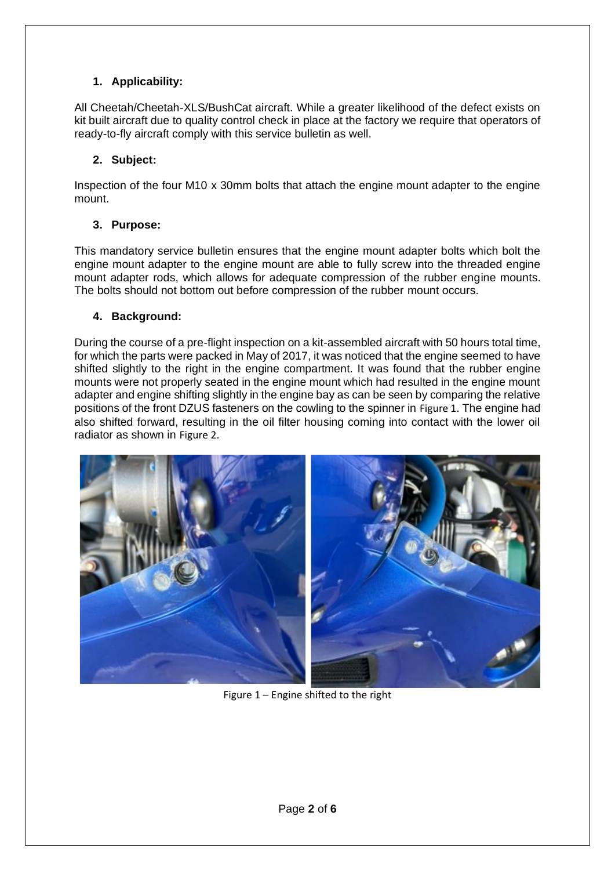# <span id="page-1-0"></span>**1. Applicability:**

All Cheetah/Cheetah-XLS/BushCat aircraft. While a greater likelihood of the defect exists on kit built aircraft due to quality control check in place at the factory we require that operators of ready-to-fly aircraft comply with this service bulletin as well.

## <span id="page-1-1"></span>**2. Subject:**

Inspection of the four M10 x 30mm bolts that attach the engine mount adapter to the engine mount.

## <span id="page-1-2"></span>**3. Purpose:**

This mandatory service bulletin ensures that the engine mount adapter bolts which bolt the engine mount adapter to the engine mount are able to fully screw into the threaded engine mount adapter rods, which allows for adequate compression of the rubber engine mounts. The bolts should not bottom out before compression of the rubber mount occurs.

## <span id="page-1-3"></span>**4. Background:**

During the course of a pre-flight inspection on a kit-assembled aircraft with 50 hours total time, for which the parts were packed in May of 2017, it was noticed that the engine seemed to have shifted slightly to the right in the engine compartment. It was found that the rubber engine mounts were not properly seated in the engine mount which had resulted in the engine mount adapter and engine shifting slightly in the engine bay as can be seen by comparing the relative positions of the front DZUS fasteners on the cowling to the spinner in [Figure 1](#page-1-4). The engine had also shifted forward, resulting in the oil filter housing coming into contact with the lower oil radiator as shown in [Figure 2](#page-2-0).

<span id="page-1-4"></span>

Figure 1 – Engine shifted to the right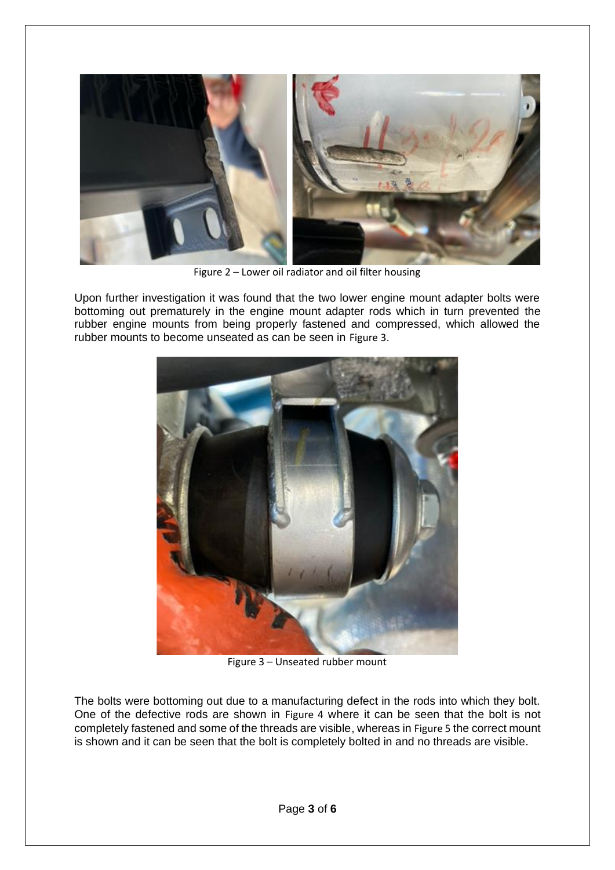

Figure 2 – Lower oil radiator and oil filter housing

<span id="page-2-0"></span>Upon further investigation it was found that the two lower engine mount adapter bolts were bottoming out prematurely in the engine mount adapter rods which in turn prevented the rubber engine mounts from being properly fastened and compressed, which allowed the rubber mounts to become unseated as can be seen in [Figure 3](#page-2-1).



Figure 3 – Unseated rubber mount

<span id="page-2-1"></span>The bolts were bottoming out due to a manufacturing defect in the rods into which they bolt. One of the defective rods are shown in [Figure 4](#page-3-0) where it can be seen that the bolt is not completely fastened and some of the threads are visible, whereas in [Figure 5](#page-3-1) the correct mount is shown and it can be seen that the bolt is completely bolted in and no threads are visible.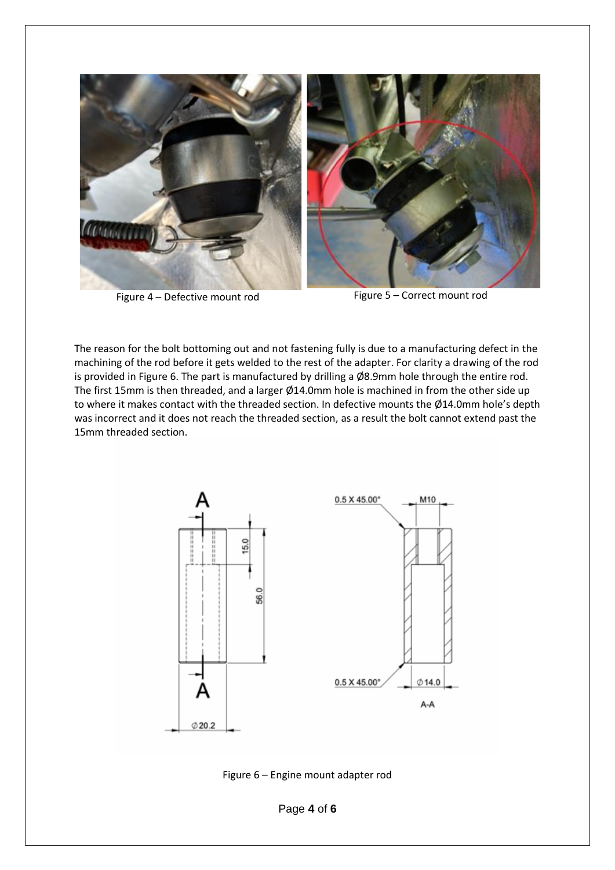

Figure 4 – Defective mount rod Figure 5 – Correct mount rod

<span id="page-3-1"></span>

<span id="page-3-0"></span>The reason for the bolt bottoming out and not fastening fully is due to a manufacturing defect in the machining of the rod before it gets welded to the rest of the adapter. For clarity a drawing of the rod is provided in [Figure 6.](#page-3-2) The part is manufactured by drilling a Ø8.9mm hole through the entire rod. The first 15mm is then threaded, and a larger Ø14.0mm hole is machined in from the other side up to where it makes contact with the threaded section. In defective mounts the Ø14.0mm hole's depth was incorrect and it does not reach the threaded section, as a result the bolt cannot extend past the 15mm threaded section.



<span id="page-3-2"></span>Figure 6 – Engine mount adapter rod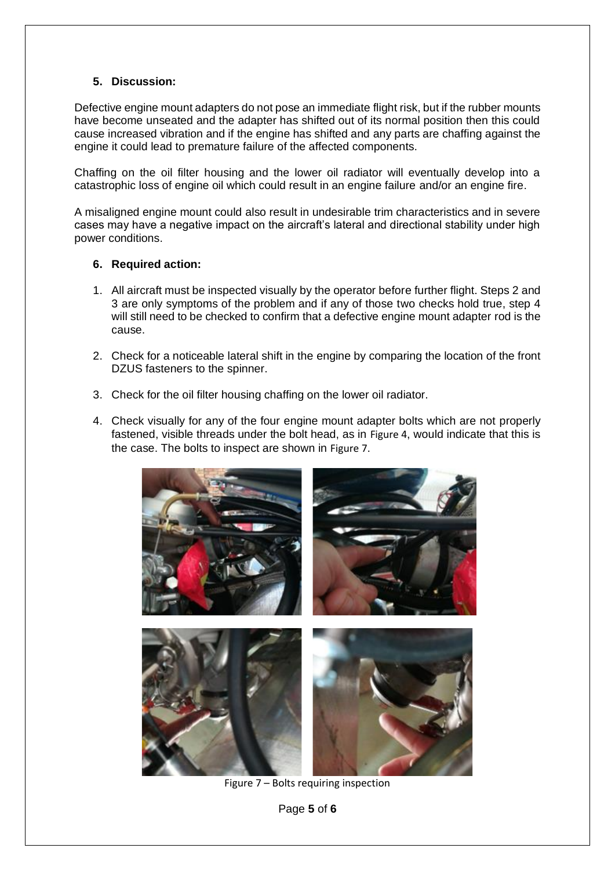#### <span id="page-4-0"></span>**5. Discussion:**

Defective engine mount adapters do not pose an immediate flight risk, but if the rubber mounts have become unseated and the adapter has shifted out of its normal position then this could cause increased vibration and if the engine has shifted and any parts are chaffing against the engine it could lead to premature failure of the affected components.

Chaffing on the oil filter housing and the lower oil radiator will eventually develop into a catastrophic loss of engine oil which could result in an engine failure and/or an engine fire.

A misaligned engine mount could also result in undesirable trim characteristics and in severe cases may have a negative impact on the aircraft's lateral and directional stability under high power conditions.

#### <span id="page-4-1"></span>**6. Required action:**

- 1. All aircraft must be inspected visually by the operator before further flight. Steps 2 and 3 are only symptoms of the problem and if any of those two checks hold true, step 4 will still need to be checked to confirm that a defective engine mount adapter rod is the cause.
- 2. Check for a noticeable lateral shift in the engine by comparing the location of the front DZUS fasteners to the spinner.
- 3. Check for the oil filter housing chaffing on the lower oil radiator.
- 4. Check visually for any of the four engine mount adapter bolts which are not properly fastened, visible threads under the bolt head, as in [Figure 4](#page-3-0), would indicate that this is the case. The bolts to inspect are shown in [Figure 7](#page-4-2).



Figure 7 – Bolts requiring inspection

<span id="page-4-2"></span>Page **5** of **6**